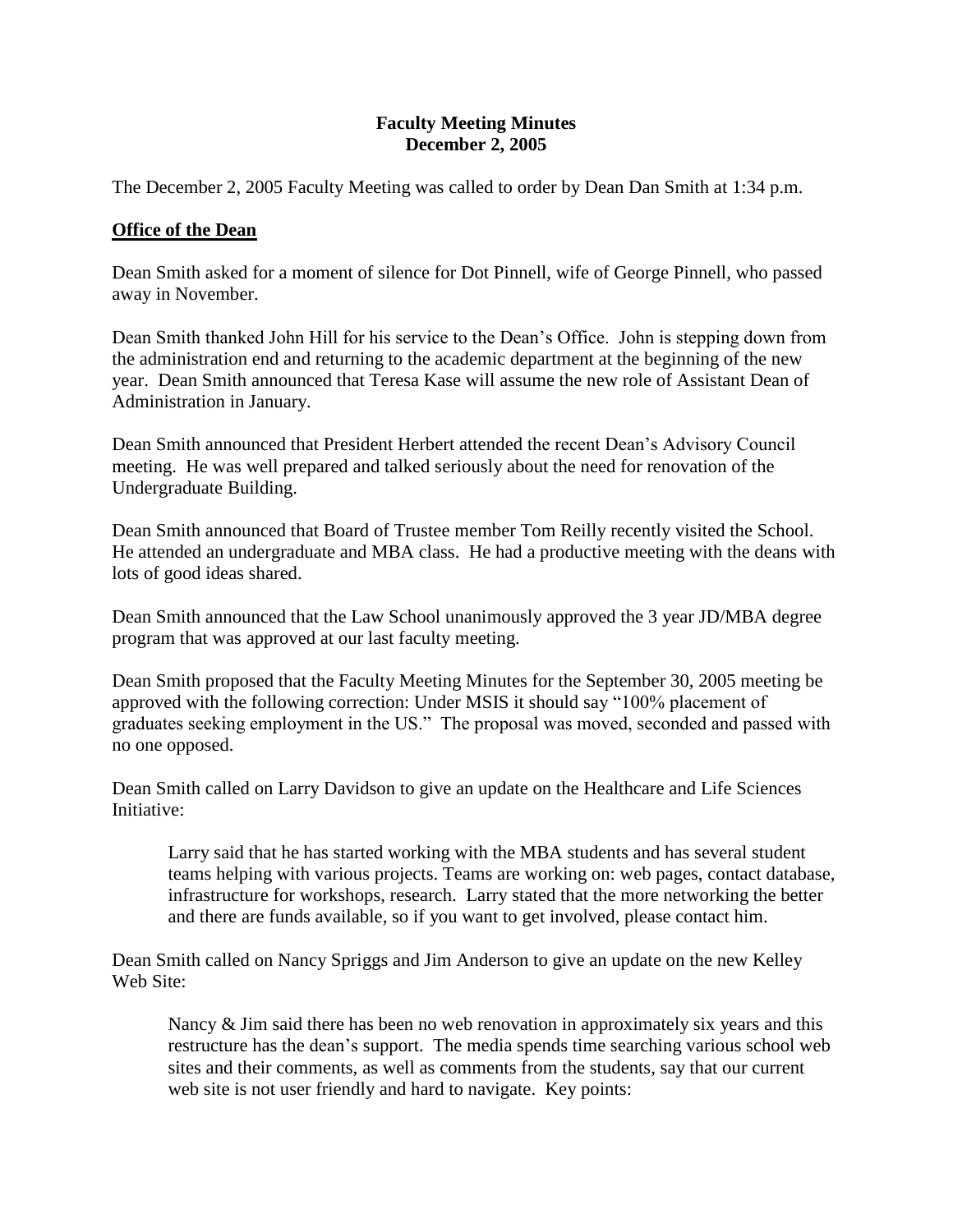### **Faculty Meeting Minutes December 2, 2005**

The December 2, 2005 Faculty Meeting was called to order by Dean Dan Smith at 1:34 p.m.

### **Office of the Dean**

Dean Smith asked for a moment of silence for Dot Pinnell, wife of George Pinnell, who passed away in November.

Dean Smith thanked John Hill for his service to the Dean's Office. John is stepping down from the administration end and returning to the academic department at the beginning of the new year. Dean Smith announced that Teresa Kase will assume the new role of Assistant Dean of Administration in January.

Dean Smith announced that President Herbert attended the recent Dean's Advisory Council meeting. He was well prepared and talked seriously about the need for renovation of the Undergraduate Building.

Dean Smith announced that Board of Trustee member Tom Reilly recently visited the School. He attended an undergraduate and MBA class. He had a productive meeting with the deans with lots of good ideas shared.

Dean Smith announced that the Law School unanimously approved the 3 year JD/MBA degree program that was approved at our last faculty meeting.

Dean Smith proposed that the Faculty Meeting Minutes for the September 30, 2005 meeting be approved with the following correction: Under MSIS it should say "100% placement of graduates seeking employment in the US." The proposal was moved, seconded and passed with no one opposed.

Dean Smith called on Larry Davidson to give an update on the Healthcare and Life Sciences Initiative:

Larry said that he has started working with the MBA students and has several student teams helping with various projects. Teams are working on: web pages, contact database, infrastructure for workshops, research. Larry stated that the more networking the better and there are funds available, so if you want to get involved, please contact him.

Dean Smith called on Nancy Spriggs and Jim Anderson to give an update on the new Kelley Web Site:

Nancy & Jim said there has been no web renovation in approximately six years and this restructure has the dean's support. The media spends time searching various school web sites and their comments, as well as comments from the students, say that our current web site is not user friendly and hard to navigate. Key points: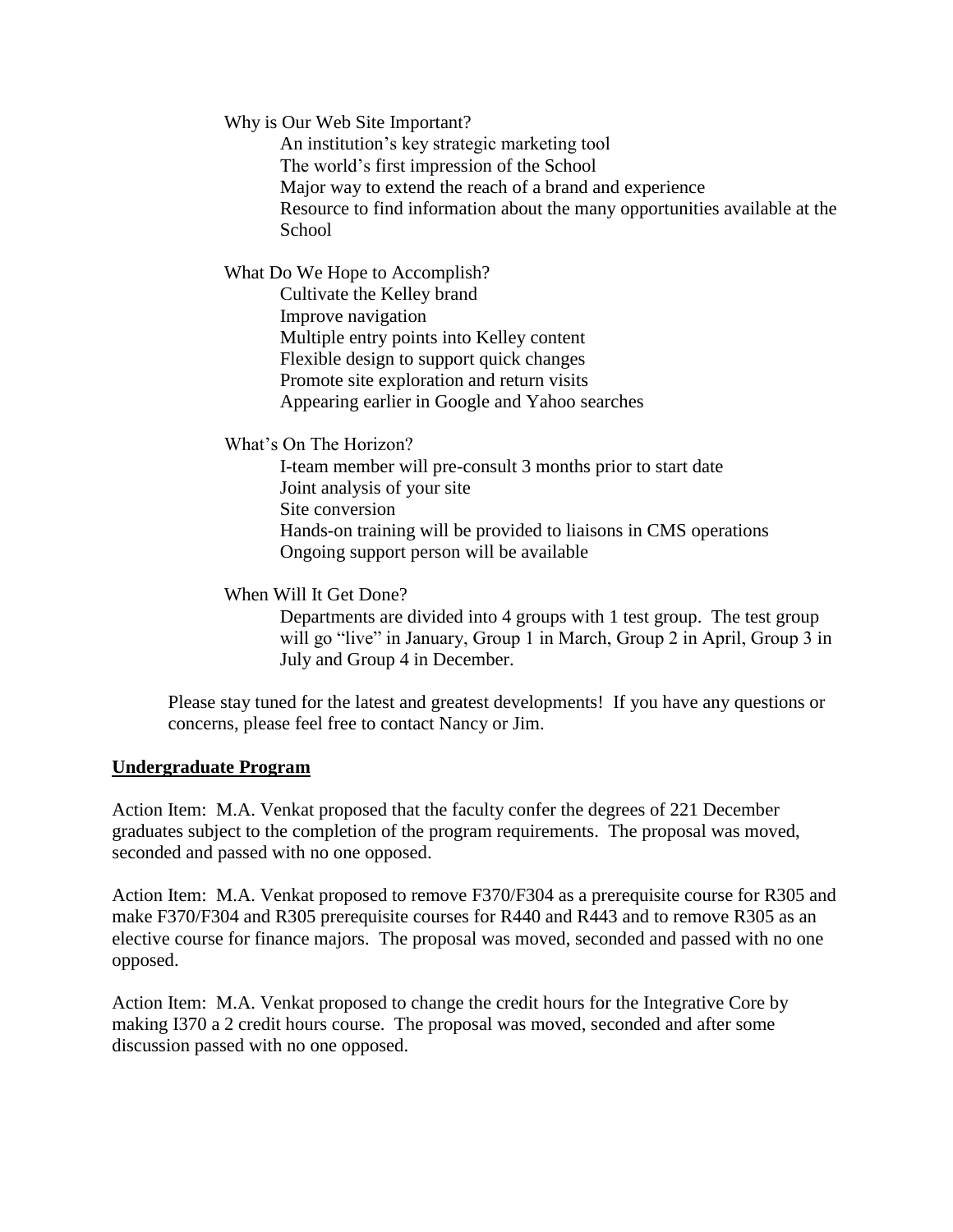Why is Our Web Site Important?

An institution's key strategic marketing tool The world's first impression of the School Major way to extend the reach of a brand and experience Resource to find information about the many opportunities available at the **School** 

What Do We Hope to Accomplish?

Cultivate the Kelley brand Improve navigation Multiple entry points into Kelley content Flexible design to support quick changes Promote site exploration and return visits Appearing earlier in Google and Yahoo searches

What's On The Horizon?

I-team member will pre-consult 3 months prior to start date Joint analysis of your site Site conversion Hands-on training will be provided to liaisons in CMS operations Ongoing support person will be available

When Will It Get Done?

Departments are divided into 4 groups with 1 test group. The test group will go "live" in January, Group 1 in March, Group 2 in April, Group 3 in July and Group 4 in December.

Please stay tuned for the latest and greatest developments! If you have any questions or concerns, please feel free to contact Nancy or Jim.

## **Undergraduate Program**

Action Item: M.A. Venkat proposed that the faculty confer the degrees of 221 December graduates subject to the completion of the program requirements. The proposal was moved, seconded and passed with no one opposed.

Action Item: M.A. Venkat proposed to remove F370/F304 as a prerequisite course for R305 and make F370/F304 and R305 prerequisite courses for R440 and R443 and to remove R305 as an elective course for finance majors. The proposal was moved, seconded and passed with no one opposed.

Action Item: M.A. Venkat proposed to change the credit hours for the Integrative Core by making I370 a 2 credit hours course. The proposal was moved, seconded and after some discussion passed with no one opposed.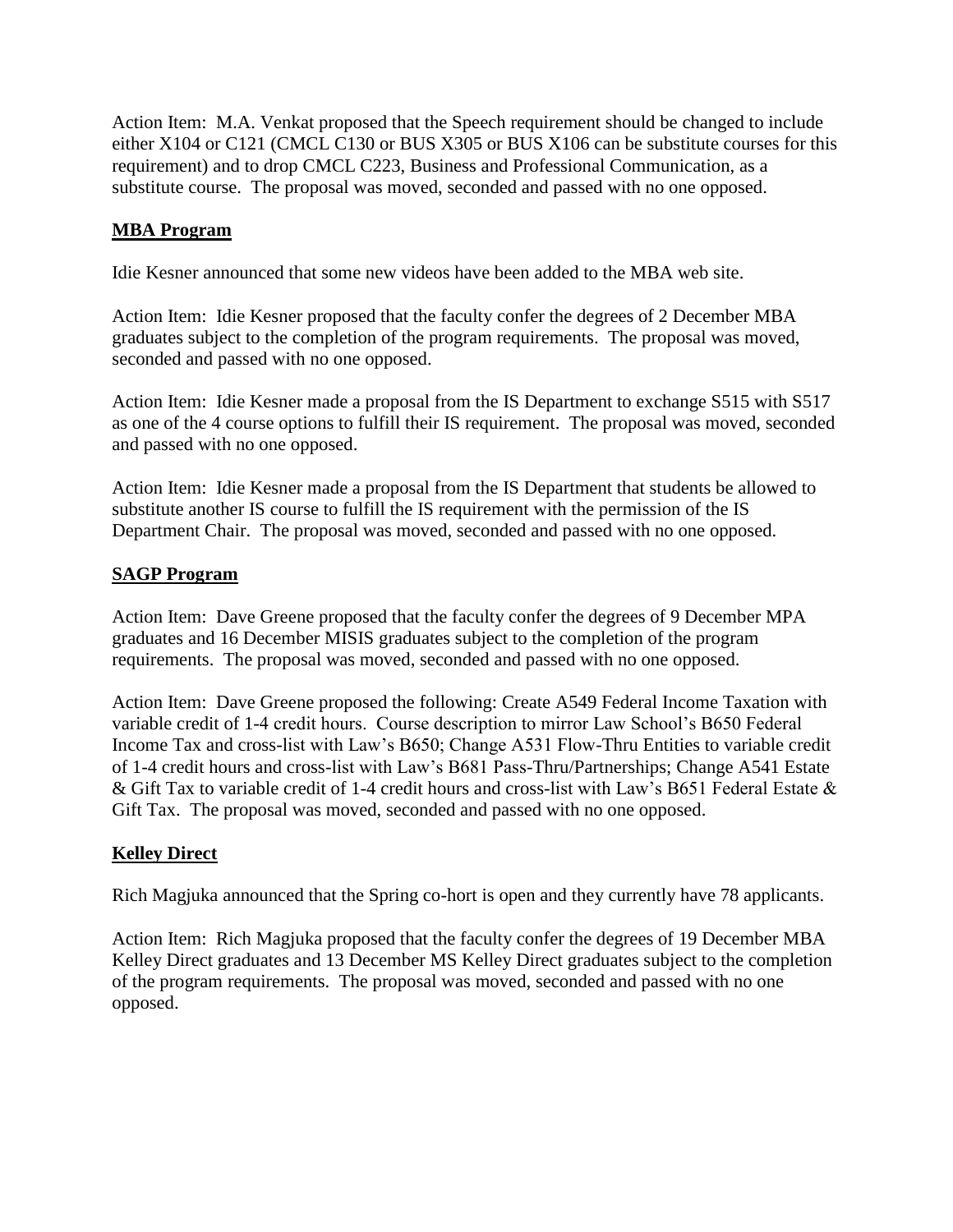Action Item: M.A. Venkat proposed that the Speech requirement should be changed to include either X104 or C121 (CMCL C130 or BUS X305 or BUS X106 can be substitute courses for this requirement) and to drop CMCL C223, Business and Professional Communication, as a substitute course. The proposal was moved, seconded and passed with no one opposed.

# **MBA Program**

Idie Kesner announced that some new videos have been added to the MBA web site.

Action Item: Idie Kesner proposed that the faculty confer the degrees of 2 December MBA graduates subject to the completion of the program requirements. The proposal was moved, seconded and passed with no one opposed.

Action Item: Idie Kesner made a proposal from the IS Department to exchange S515 with S517 as one of the 4 course options to fulfill their IS requirement. The proposal was moved, seconded and passed with no one opposed.

Action Item: Idie Kesner made a proposal from the IS Department that students be allowed to substitute another IS course to fulfill the IS requirement with the permission of the IS Department Chair. The proposal was moved, seconded and passed with no one opposed.

## **SAGP Program**

Action Item: Dave Greene proposed that the faculty confer the degrees of 9 December MPA graduates and 16 December MISIS graduates subject to the completion of the program requirements. The proposal was moved, seconded and passed with no one opposed.

Action Item: Dave Greene proposed the following: Create A549 Federal Income Taxation with variable credit of 1-4 credit hours. Course description to mirror Law School's B650 Federal Income Tax and cross-list with Law's B650; Change A531 Flow-Thru Entities to variable credit of 1-4 credit hours and cross-list with Law's B681 Pass-Thru/Partnerships; Change A541 Estate & Gift Tax to variable credit of 1-4 credit hours and cross-list with Law's B651 Federal Estate & Gift Tax. The proposal was moved, seconded and passed with no one opposed.

## **Kelley Direct**

Rich Magjuka announced that the Spring co-hort is open and they currently have 78 applicants.

Action Item: Rich Magjuka proposed that the faculty confer the degrees of 19 December MBA Kelley Direct graduates and 13 December MS Kelley Direct graduates subject to the completion of the program requirements. The proposal was moved, seconded and passed with no one opposed.